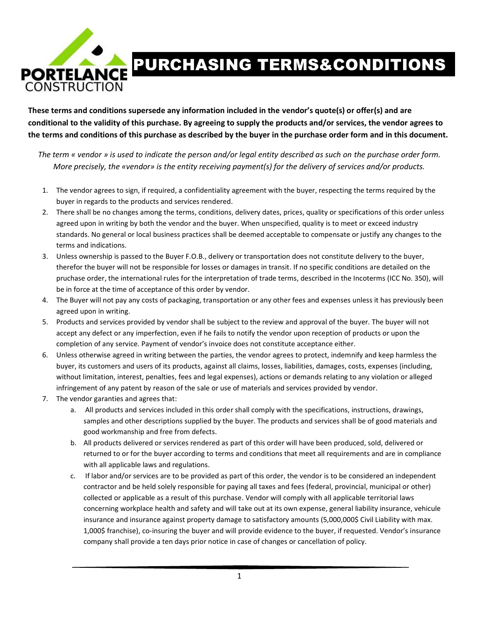

## PURCHASING TERMS&CONDITIONS

**These terms and conditions supersede any information included in the vendor's quote(s) or offer(s) and are conditional to the validity of this purchase. By agreeing to supply the products and/or services, the vendor agrees to the terms and conditions of this purchase as described by the buyer in the purchase order form and in this document.** 

*The term « vendor » is used to indicate the person and/or legal entity described as such on the purchase order form. More precisely, the «vendor» is the entity receiving payment(s) for the delivery of services and/or products.*

- 1. The vendor agrees to sign, if required, a confidentiality agreement with the buyer, respecting the terms required by the buyer in regards to the products and services rendered.
- 2. There shall be no changes among the terms, conditions, delivery dates, prices, quality or specifications of this order unless agreed upon in writing by both the vendor and the buyer. When unspecified, quality is to meet or exceed industry standards. No general or local business practices shall be deemed acceptable to compensate or justify any changes to the terms and indications.
- 3. Unless ownership is passed to the Buyer F.O.B., delivery or transportation does not constitute delivery to the buyer, therefor the buyer will not be responsible for losses or damages in transit. If no specific conditions are detailed on the pruchase order, the international rules for the interpretation of trade terms, described in the Incoterms (ICC No. 350), will be in force at the time of acceptance of this order by vendor.
- 4. The Buyer will not pay any costs of packaging, transportation or any other fees and expenses unless it has previously been agreed upon in writing.
- 5. Products and services provided by vendor shall be subject to the review and approval of the buyer. The buyer will not accept any defect or any imperfection, even if he fails to notify the vendor upon reception of products or upon the completion of any service. Payment of vendor's invoice does not constitute acceptance either.
- 6. Unless otherwise agreed in writing between the parties, the vendor agrees to protect, indemnify and keep harmless the buyer, its customers and users of its products, against all claims, losses, liabilities, damages, costs, expenses (including, without limitation, interest, penalties, fees and legal expenses), actions or demands relating to any violation or alleged infringement of any patent by reason of the sale or use of materials and services provided by vendor.
- 7. The vendor garanties and agrees that:
	- a. All products and services included in this order shall comply with the specifications, instructions, drawings, samples and other descriptions supplied by the buyer. The products and services shall be of good materials and good workmanship and free from defects.
	- b. All products delivered or services rendered as part of this order will have been produced, sold, delivered or returned to or for the buyer according to terms and conditions that meet all requirements and are in compliance with all applicable laws and regulations.
	- c. If labor and/or services are to be provided as part of this order, the vendor is to be considered an independent contractor and be held solely responsible for paying all taxes and fees (federal, provincial, municipal or other) collected or applicable as a result of this purchase. Vendor will comply with all applicable territorial laws concerning workplace health and safety and will take out at its own expense, general liability insurance, vehicule insurance and insurance against property damage to satisfactory amounts (5,000,000\$ Civil Liability with max. 1,000\$ franchise), co-insuring the buyer and will provide evidence to the buyer, if requested. Vendor's insurance company shall provide a ten days prior notice in case of changes or cancellation of policy.